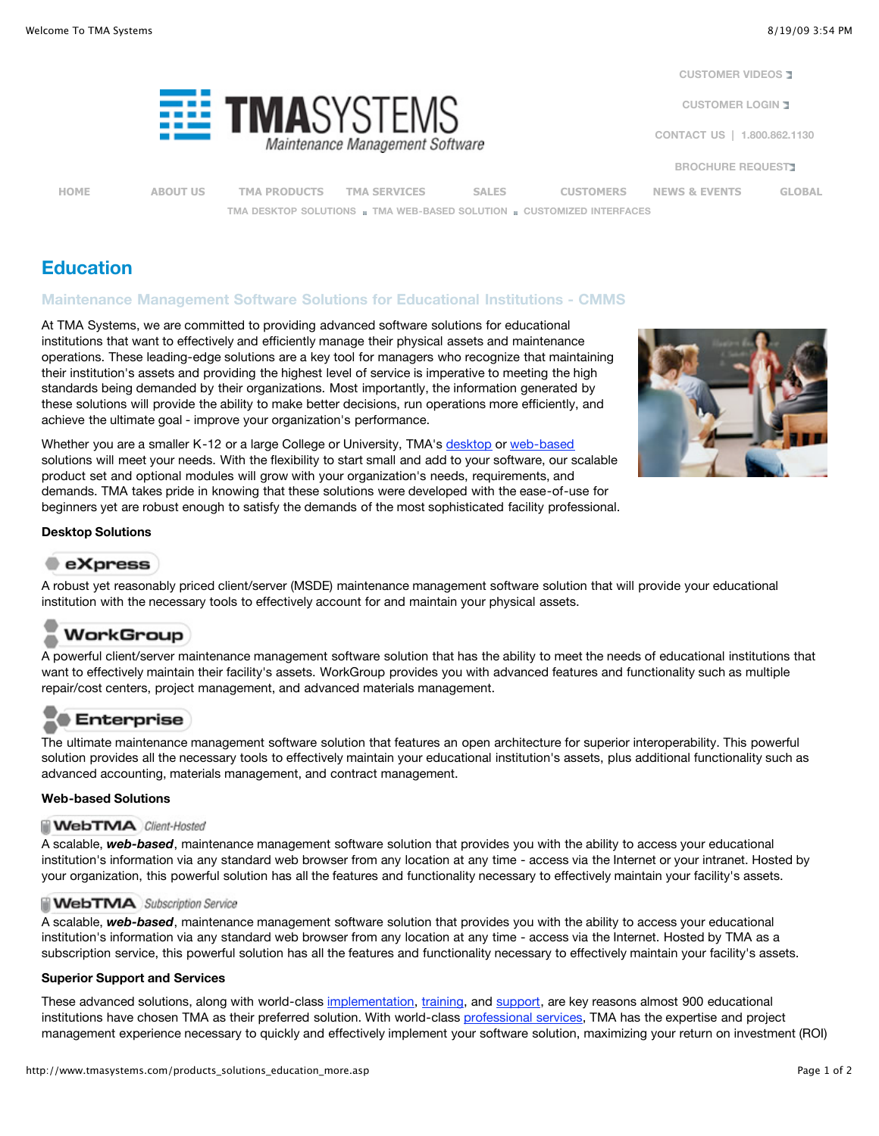**[CUSTOMER VIDEOS](http://www.tmasystems.com/tma_customer_videos.asp)** 

**[CUSTOMER LOGIN](http://tmasystems.net/support/login.htm)** 

**[CONTACT US](http://www.tmasystems.com/contact_info.asp) | 1.800.862.1130**

**[BROCHURE REQUEST](http://www.tmasystems.com/cs_sales_brochure_request.asp)**

TMASYSTEN Maintenance Management Software

**[HOME](http://www.tmasystems.com/index.asp) [ABOUT US](http://www.tmasystems.com/about.asp) [TMA PRODUCTS](http://www.tmasystems.com/tma_products.asp) [TMA SERVICES](http://www.tmasystems.com/tma_services.asp) [SALES](http://www.tmasystems.com/cs_sales.asp) [CUSTOMERS](http://www.tmasystems.com/customers.asp) [NEWS & EVENTS](http://www.tmasystems.com/news_events.asp) [GLOBAL](http://www.tmasystems.com/global_overview.asp) [TMA DESKTOP SOLUTIONS](http://www.tmasystems.com/tma_desktop.asp) n** [TMA WEB-BASED SOLUTION](http://www.tmasystems.com/products_web-based.asp) **n** [CUSTOMIZED INTERFACES](http://www.tmasystems.com/products_optional_tma_specialized.asp)

# **Education**

## **Maintenance Management Software Solutions for Educational Institutions - CMMS**

At TMA Systems, we are committed to providing advanced software solutions for educational institutions that want to effectively and efficiently manage their physical assets and maintenance operations. These leading-edge solutions are a key tool for managers who recognize that maintaining their institution's assets and providing the highest level of service is imperative to meeting the high standards being demanded by their organizations. Most importantly, the information generated by these solutions will provide the ability to make better decisions, run operations more efficiently, and achieve the ultimate goal - improve your organization's performance.

Whether you are a smaller K-12 or a large College or University, TMA's [desktop](http://www.tmasystems.com/tma_desktop.asp) or [web-based](http://www.tmasystems.com/products_web-based.asp) solutions will meet your needs. With the flexibility to start small and add to your software, our scalable product set and optional modules will grow with your organization's needs, requirements, and demands. TMA takes pride in knowing that these solutions were developed with the ease-of-use for beginners yet are robust enough to satisfy the demands of the most sophisticated facility professional.



### **Desktop Solutions**

# $\bullet$  eXpress

A robust yet reasonably priced client/server (MSDE) maintenance management software solution that will provide your educational institution with the necessary tools to effectively account for and maintain your physical assets.

# WorkGroup

A powerful client/server maintenance management software solution that has the ability to meet the needs of educational institutions that want to effectively maintain their facility's assets. WorkGroup provides you with advanced features and functionality such as multiple repair/cost centers, project management, and advanced materials management.

# **Enterprise**

The ultimate maintenance management software solution that features an open architecture for superior interoperability. This powerful solution provides all the necessary tools to effectively maintain your educational institution's assets, plus additional functionality such as advanced accounting, materials management, and contract management.

### **Web-based Solutions**

### **WebTMA** Client-Hosted

A scalable, *web-based*, maintenance management software solution that provides you with the ability to access your educational institution's information via any standard web browser from any location at any time - access via the Internet or your intranet. Hosted by your organization, this powerful solution has all the features and functionality necessary to effectively maintain your facility's assets.

### **WebTMA** Subscription Service

A scalable, *web-based*, maintenance management software solution that provides you with the ability to access your educational institution's information via any standard web browser from any location at any time - access via the Internet. Hosted by TMA as a subscription service, this powerful solution has all the features and functionality necessary to effectively maintain your facility's assets.

### **Superior Support and Services**

These advanced solutions, along with world-class [implementation, training](http://www.tmasystems.com/services_impl_training.asp), and [support,](http://www.tmasystems.com/customer_service.asp) are key reasons almost 900 educational institutions have chosen TMA as their preferred solution. With world-class [professional services,](http://www.tmasystems.com/tma_services.asp) TMA has the expertise and project management experience necessary to quickly and effectively implement your software solution, maximizing your return on investment (ROI)